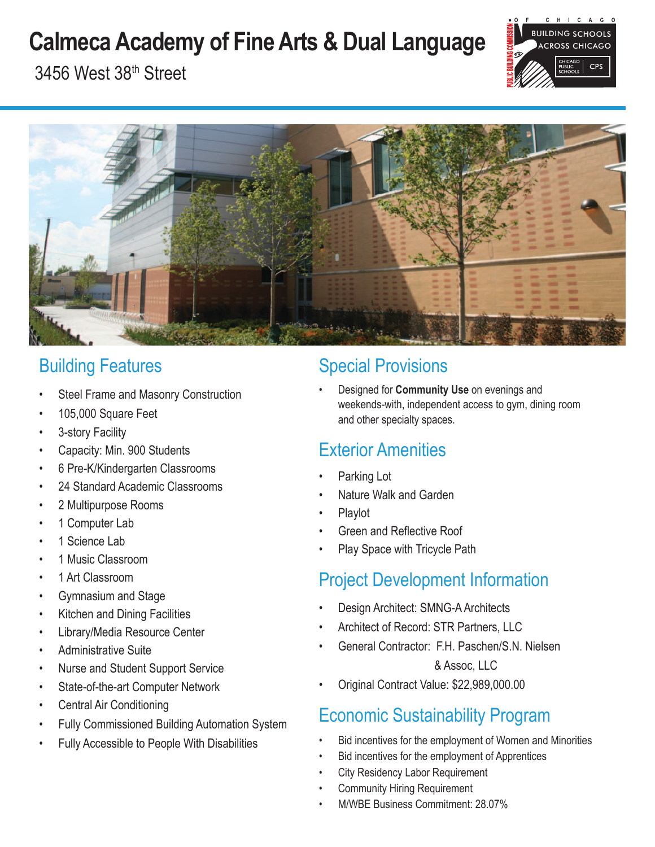# **Calmeca Academy of Fine Arts & Dual Language**



3456 West 38th Street



# Building Features

- Steel Frame and Masonry Construction
- 105,000 Square Feet
- 3-story Facility
- Capacity: Min. 900 Students
- 6 Pre-K/Kindergarten Classrooms
- 24 Standard Academic Classrooms
- 2 Multipurpose Rooms
- 1 Computer Lab
- 1 Science Lab
- 1 Music Classroom
- 1 Art Classroom
- Gymnasium and Stage
- Kitchen and Dining Facilities
- Library/Media Resource Center
- Administrative Suite
- Nurse and Student Support Service
- State-of-the-art Computer Network
- Central Air Conditioning
- Fully Commissioned Building Automation System
- Fully Accessible to People With Disabilities

# Special Provisions

• Designed for **Community Use** on evenings and weekends-with, independent access to gym, dining room and other specialty spaces.

# Exterior Amenities

- Parking Lot
- Nature Walk and Garden
- Playlot
- Green and Reflective Roof
- Play Space with Tricycle Path

# Project Development Information

- Design Architect: SMNG-A Architects
- Architect of Record: STR Partners, LLC
- General Contractor: F.H. Paschen/S.N. Nielsen

## & Assoc, LLC

• Original Contract Value: \$22,989,000.00

# Economic Sustainability Program

- Bid incentives for the employment of Women and Minorities
- Bid incentives for the employment of Apprentices
- **City Residency Labor Requirement**
- Community Hiring Requirement
- M/WBE Business Commitment: 28.07%